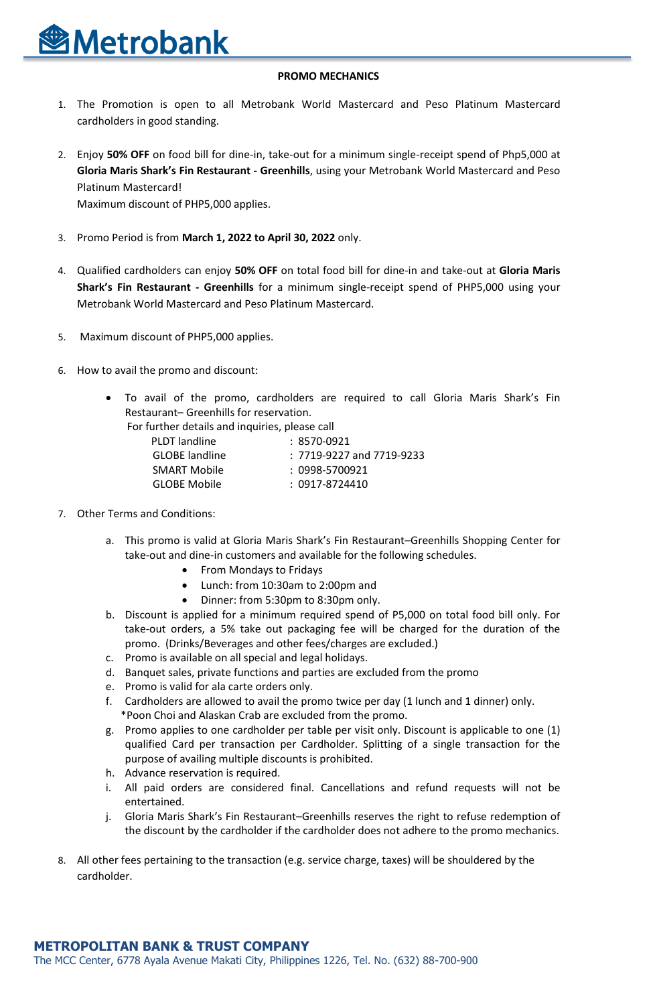

## **PROMO MECHANICS**

- 1. The Promotion is open to all Metrobank World Mastercard and Peso Platinum Mastercard cardholders in good standing.
- 2. Enjoy **50% OFF** on food bill for dine-in, take-out for a minimum single-receipt spend of Php5,000 at **Gloria Maris Shark's Fin Restaurant - Greenhills**, using your Metrobank World Mastercard and Peso Platinum Mastercard! Maximum discount of PHP5,000 applies.
- 3. Promo Period is from **March 1, 2022 to April 30, 2022** only.
- 4. Qualified cardholders can enjoy **50% OFF** on total food bill for dine-in and take-out at **Gloria Maris Shark's Fin Restaurant - Greenhills** for a minimum single-receipt spend of PHP5,000 using your Metrobank World Mastercard and Peso Platinum Mastercard.
- 5. Maximum discount of PHP5,000 applies.
- 6. How to avail the promo and discount:
	- To avail of the promo, cardholders are required to call Gloria Maris Shark's Fin Restaurant– Greenhills for reservation.

For further details and inquiries, please call

| PLDT landline         | : 8570-0921                   |
|-----------------------|-------------------------------|
| <b>GLOBE</b> landline | $: 7719-9227$ and $7719-9233$ |
| <b>SMART Mobile</b>   | : 0998-5700921                |
| <b>GLOBE Mobile</b>   | : 0917-8724410                |

- 7. Other Terms and Conditions:
	- a. This promo is valid at Gloria Maris Shark's Fin Restaurant–Greenhills Shopping Center for take-out and dine-in customers and available for the following schedules.
		- From Mondays to Fridays
		- Lunch: from 10:30am to 2:00pm and
		- Dinner: from 5:30pm to 8:30pm only.
	- b. Discount is applied for a minimum required spend of P5,000 on total food bill only. For take-out orders, a 5% take out packaging fee will be charged for the duration of the promo. (Drinks/Beverages and other fees/charges are excluded.)
	- c. Promo is available on all special and legal holidays.
	- d. Banquet sales, private functions and parties are excluded from the promo
	- e. Promo is valid for ala carte orders only.
	- f. Cardholders are allowed to avail the promo twice per day (1 lunch and 1 dinner) only. \*Poon Choi and Alaskan Crab are excluded from the promo.
	- g. Promo applies to one cardholder per table per visit only. Discount is applicable to one (1) qualified Card per transaction per Cardholder. Splitting of a single transaction for the purpose of availing multiple discounts is prohibited.
	- h. Advance reservation is required.
	- i. All paid orders are considered final. Cancellations and refund requests will not be entertained.
	- j. Gloria Maris Shark's Fin Restaurant–Greenhills reserves the right to refuse redemption of the discount by the cardholder if the cardholder does not adhere to the promo mechanics.
- 8. All other fees pertaining to the transaction (e.g. service charge, taxes) will be shouldered by the cardholder.